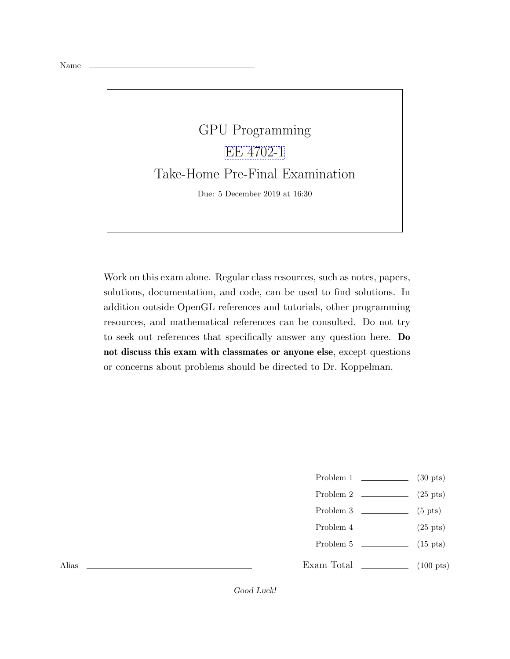## GPU Programming [EE 4702-1](https://www.ece.lsu.edu/koppel/gpup/) Take-Home Pre-Final Examination Due: 5 December 2019 at 16:30

Work on this exam alone. Regular class resources, such as notes, papers, solutions, documentation, and code, can be used to find solutions. In addition outside OpenGL references and tutorials, other programming resources, and mathematical references can be consulted. Do not try to seek out references that specifically answer any question here. Do not discuss this exam with classmates or anyone else, except questions or concerns about problems should be directed to Dr. Koppelman.

- Problem  $1 \t\t(30 \text{ pts})$
- Problem 2  $\qquad \qquad$  (25 pts)
- Problem  $3 \t\t(5 \text{ pts})$
- Problem 4  $\qquad \qquad (25 \text{ pts})$
- Problem 5 (15 pts)
- Exam Total  $\qquad \qquad (100 \text{ pts})$

Alias

Good Luck!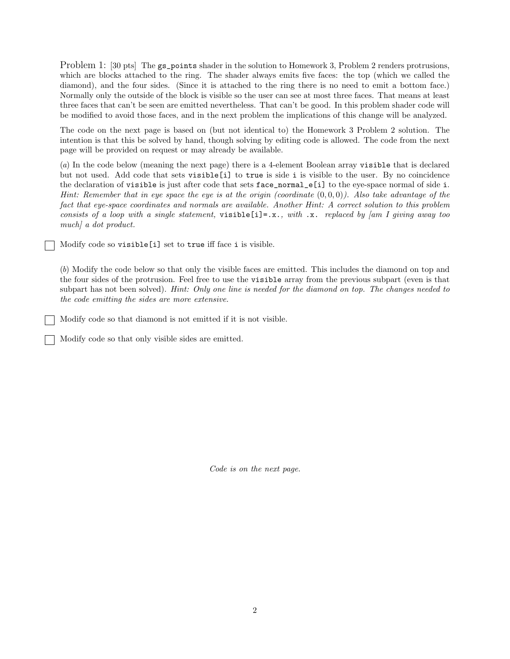Problem 1: [30 pts] The gs\_points shader in the solution to Homework 3, Problem 2 renders protrusions, which are blocks attached to the ring. The shader always emits five faces: the top (which we called the diamond), and the four sides. (Since it is attached to the ring there is no need to emit a bottom face.) Normally only the outside of the block is visible so the user can see at most three faces. That means at least three faces that can't be seen are emitted nevertheless. That can't be good. In this problem shader code will be modified to avoid those faces, and in the next problem the implications of this change will be analyzed.

The code on the next page is based on (but not identical to) the Homework 3 Problem 2 solution. The intention is that this be solved by hand, though solving by editing code is allowed. The code from the next page will be provided on request or may already be available.

(a) In the code below (meaning the next page) there is a 4-element Boolean array visible that is declared but not used. Add code that sets visible[i] to true is side i is visible to the user. By no coincidence the declaration of visible is just after code that sets face\_normal\_e[i] to the eye-space normal of side i. Hint: Remember that in eye space the eye is at the origin (coordinate  $(0,0,0)$ ). Also take advantage of the fact that eye-space coordinates and normals are available. Another Hint: A correct solution to this problem consists of a loop with a single statement, visible [i]=.x., with .x. replaced by  $\lfloor am \, I \rfloor$  giving away too much] a dot product.

Modify code so visible[i] set to true iff face i is visible.

(b) Modify the code below so that only the visible faces are emitted. This includes the diamond on top and the four sides of the protrusion. Feel free to use the visible array from the previous subpart (even is that subpart has not been solved). Hint: Only one line is needed for the diamond on top. The changes needed to the code emitting the sides are more extensive.

Modify code so that diamond is not emitted if it is not visible.

Modify code so that only visible sides are emitted.

Code is on the next page.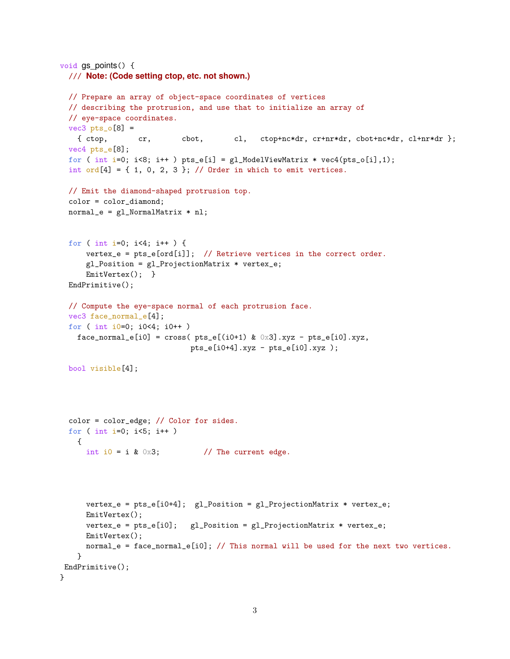```
void \text{qs} points() {
  /// Note: (Code setting ctop, etc. not shown.)
 // Prepare an array of object-space coordinates of vertices
 // describing the protrusion, and use that to initialize an array of
  // eye-space coordinates.
 vec3 pts_o[8] =
   { ctop, cr, cbot, cl, ctop+nc*dr, cr+nr*dr, cbot+nc*dr, cl+nr*dr };
  vec4 pts_e[8];
  for ( int i=0; i<8; i++ ) pts_e[i] = gl_ModelViewMatrix * vec4(pts_o[i],1);
  int ord[4] = \{ 1, 0, 2, 3 \}; // Order in which to emit vertices.
 // Emit the diamond-shaped protrusion top.
  color = color_diamond;
 normal_e = gl_NormalMatrix * nl;for ( int i=0; i<4; i++ ) {
     vertex_e = pts_e[ord[i]]; // Retrieve vertices in the correct order.
     gl_Position = gl_ProjectionMatrix * vertex_e;
     EmitVertex(); }
  EndPrimitive();
 // Compute the eye-space normal of each protrusion face.
  vec3 face_normal_e[4];
  for ( int i0=0; i0<4; i0++ )
   face_normal_e[i0] = cross( pts_e[(i0+1) & 0 \times 3] .xyz - pts_e[i0].xyz,
                             pts_e[i0+4].xyz - pts_e[i0].xyz );
  bool visible[4];
  color = color_edge; // Color for sides.
  for ( int i=0; i<5; i++ )
   {
     int i0 = i & 0x3; // The current edge.
     vertex_e = pts_e[i0+4]; gl_position = gl_projectionMatrix * vertex_e;EmitVertex();
     vertex_e = pts_e[i0]; gl_Position = gl_ProjectionMatrix * vertex_e;
     EmitVertex();
     normal_e = face_normal_e[i0]; // This normal will be used for the next two vertices.
   }
EndPrimitive();
}
```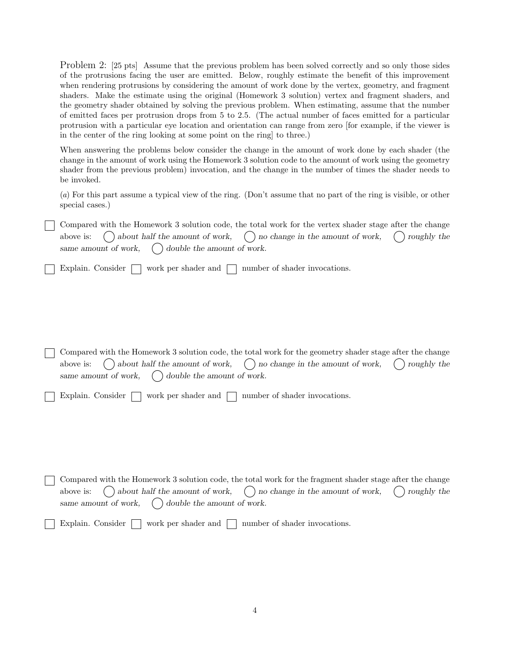Problem 2: [25 pts] Assume that the previous problem has been solved correctly and so only those sides of the protrusions facing the user are emitted. Below, roughly estimate the benefit of this improvement when rendering protrusions by considering the amount of work done by the vertex, geometry, and fragment shaders. Make the estimate using the original (Homework 3 solution) vertex and fragment shaders, and the geometry shader obtained by solving the previous problem. When estimating, assume that the number of emitted faces per protrusion drops from 5 to 2.5. (The actual number of faces emitted for a particular protrusion with a particular eye location and orientation can range from zero [for example, if the viewer is in the center of the ring looking at some point on the ring] to three.)

When answering the problems below consider the change in the amount of work done by each shader (the change in the amount of work using the Homework 3 solution code to the amount of work using the geometry shader from the previous problem) invocation, and the change in the number of times the shader needs to be invoked.

(a) For this part assume a typical view of the ring. (Don't assume that no part of the ring is visible, or other special cases.)

Compared with the Homework 3 solution code, the total work for the vertex shader stage after the change above is:  $\langle \rangle$  about half the amount of work,  $\langle \rangle$  no change in the amount of work,  $\langle \rangle$  roughly the same amount of work,  $\bigcap$  double the amount of work.

Explain. Consider work per shader and number of shader invocations.

Compared with the Homework 3 solution code, the total work for the geometry shader stage after the change above is:  $\langle \rangle$  about half the amount of work,  $\langle \rangle$  no change in the amount of work,  $\langle \rangle$  roughly the same amount of work,  $\bigcirc$  double the amount of work.

|  |  | Explain. Consider $\Box$ work per shader and $\Box$ number of shader invocations. |
|--|--|-----------------------------------------------------------------------------------|
|--|--|-----------------------------------------------------------------------------------|

Compared with the Homework 3 solution code, the total work for the fragment shader stage after the change above is:  $\langle \rangle$  about half the amount of work,  $\langle \rangle$  no change in the amount of work,  $\langle \rangle$  roughly the same amount of work,  $\bigcirc$  double the amount of work.

Explain. Consider  $\Box$  work per shader and  $\Box$  number of shader invocations.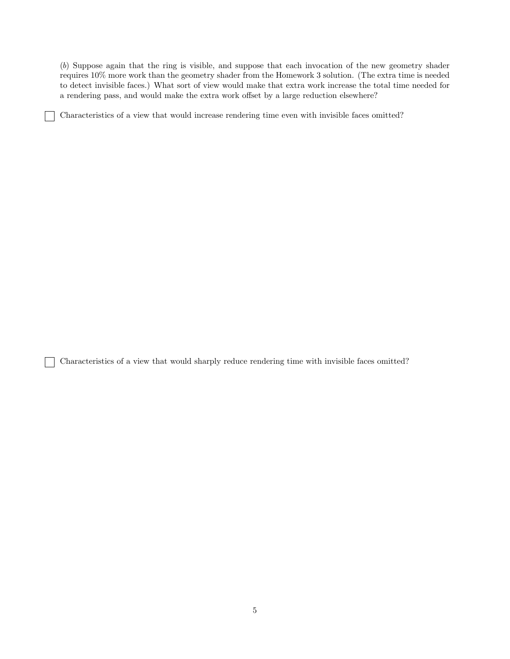(b) Suppose again that the ring is visible, and suppose that each invocation of the new geometry shader requires 10% more work than the geometry shader from the Homework 3 solution. (The extra time is needed to detect invisible faces.) What sort of view would make that extra work increase the total time needed for a rendering pass, and would make the extra work offset by a large reduction elsewhere?

Characteristics of a view that would increase rendering time even with invisible faces omitted?

Characteristics of a view that would sharply reduce rendering time with invisible faces omitted?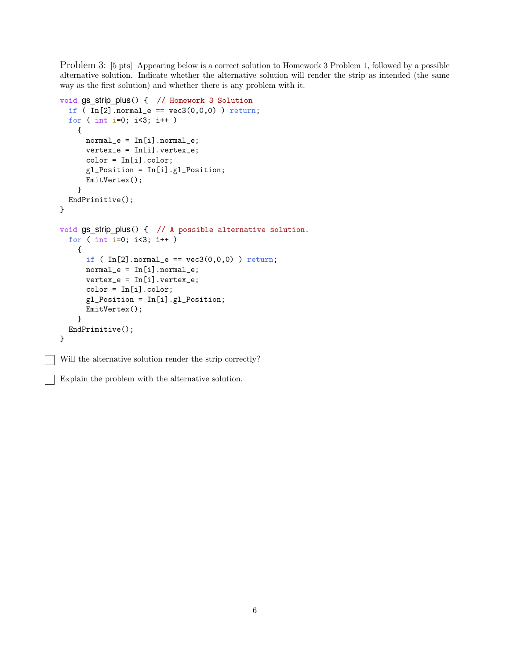Problem 3: [5 pts] Appearing below is a correct solution to Homework 3 Problem 1, followed by a possible alternative solution. Indicate whether the alternative solution will render the strip as intended (the same way as the first solution) and whether there is any problem with it.

```
void gs_strip_plus() { // Homework 3 Solution
  if ( In[2] .normal_e == vec3(0,0,0) ) return;
  for ( int i=0; i<3; i++ )
   {
      normal_e = In[i].normal_e;vertex_e = In[i].vertex_e;
      color = In[i].color;
      gl_Position = In[i].gl_Position;
     EmitVertex();
   }
 EndPrimitive();
}
void gs strip plus() { // A possible alternative solution.
  for ( int i=0; i<3; i++ )
   {
      if ( In[2] .normal_e == vec3(0,0,0) ) return;
      normal_e = In[i].normal_e;vertex_e = In[i].vertex_e;
      color = In[i].color;gl_Position = In[i].gl_Position;
      EmitVertex();
   }
 EndPrimitive();
}
```
Will the alternative solution render the strip correctly?

Explain the problem with the alternative solution.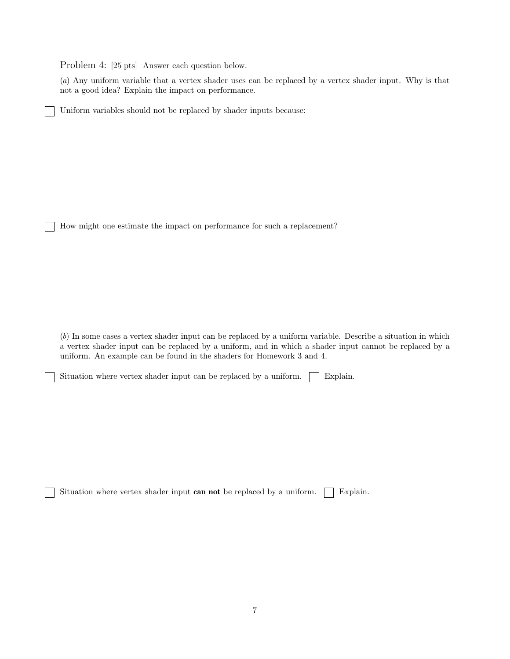Problem 4: [25 pts] Answer each question below.

(a) Any uniform variable that a vertex shader uses can be replaced by a vertex shader input. Why is that not a good idea? Explain the impact on performance.

Uniform variables should not be replaced by shader inputs because:

How might one estimate the impact on performance for such a replacement?

(b) In some cases a vertex shader input can be replaced by a uniform variable. Describe a situation in which a vertex shader input can be replaced by a uniform, and in which a shader input cannot be replaced by a uniform. An example can be found in the shaders for Homework 3 and 4.

Situation where vertex shader input can be replaced by a uniform.  $\Box$  Explain.

Situation where vertex shader input can not be replaced by a uniform.  $\Box$  Explain.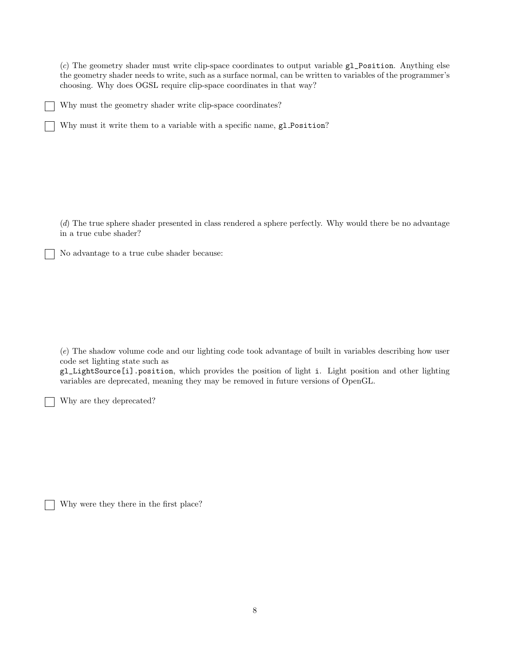(c) The geometry shader must write clip-space coordinates to output variable gl\_Position. Anything else the geometry shader needs to write, such as a surface normal, can be written to variables of the programmer's choosing. Why does OGSL require clip-space coordinates in that way?

Why must the geometry shader write clip-space coordinates?

Why must it write them to a variable with a specific name, gl Position?

(d) The true sphere shader presented in class rendered a sphere perfectly. Why would there be no advantage in a true cube shader?

No advantage to a true cube shader because:

(e) The shadow volume code and our lighting code took advantage of built in variables describing how user code set lighting state such as

gl\_LightSource[i].position, which provides the position of light i. Light position and other lighting variables are deprecated, meaning they may be removed in future versions of OpenGL.

Why are they deprecated?

Why were they there in the first place?